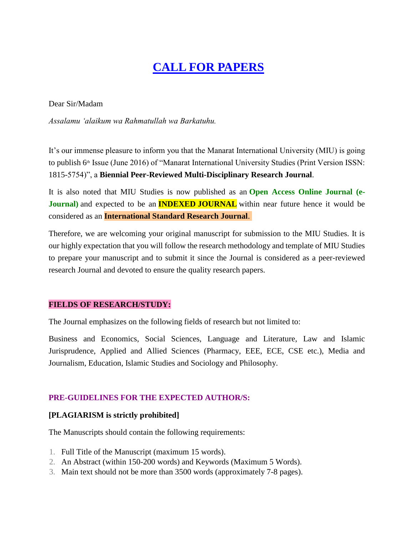# **CALL FOR PAPERS**

Dear Sir/Madam

*Assalamu 'alaikum wa Rahmatullah wa Barkatuhu.*

It's our immense pleasure to inform you that the Manarat International University (MIU) is going to publish 6<sup>th</sup> Issue (June 2016) of "Manarat International University Studies (Print Version ISSN: 1815-5754)", a **Biennial Peer-Reviewed Multi-Disciplinary Research Journal**.

It is also noted that MIU Studies is now published as an **Open Access Online Journal (e-Journal**) and expected to be an **INDEXED JOURNAL** within near future hence it would be considered as an **International Standard Research Journal**.

Therefore, we are welcoming your original manuscript for submission to the MIU Studies. It is our highly expectation that you will follow the research methodology and template of MIU Studies to prepare your manuscript and to submit it since the Journal is considered as a peer-reviewed research Journal and devoted to ensure the quality research papers.

## **FIELDS OF RESEARCH/STUDY:**

The Journal emphasizes on the following fields of research but not limited to:

Business and Economics, Social Sciences, Language and Literature, Law and Islamic Jurisprudence, Applied and Allied Sciences (Pharmacy, EEE, ECE, CSE etc.), Media and Journalism, Education, Islamic Studies and Sociology and Philosophy.

## **PRE-GUIDELINES FOR THE EXPECTED AUTHOR/S:**

## **[PLAGIARISM is strictly prohibited]**

The Manuscripts should contain the following requirements:

- 1. Full Title of the Manuscript (maximum 15 words).
- 2. An Abstract (within 150-200 words) and Keywords (Maximum 5 Words).
- 3. Main text should not be more than 3500 words (approximately 7-8 pages).